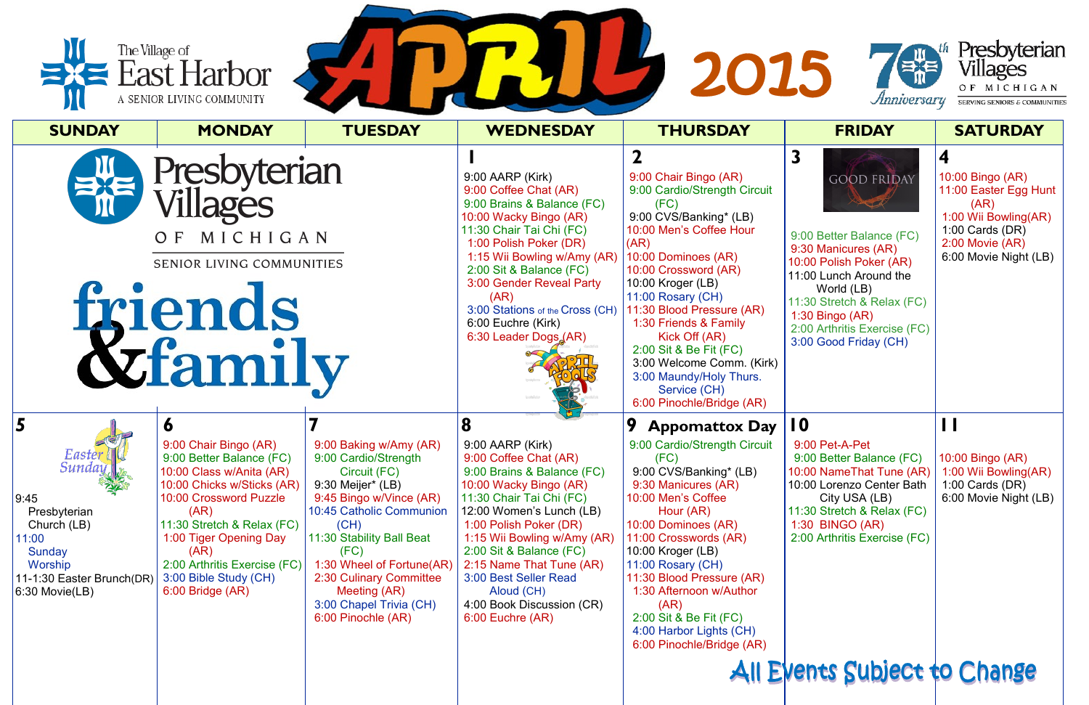|                                                                                                                                           | The Village of<br>East Harbor<br>A SENIOR LIVING COMMUNITY                                                                                                                                                                                                                                              |                                                                                                                                                                                                                                                                                                                  |                                                                                                                                                                                                                                                                                                                                                                          | 2015                                                                                                                                                                                                                                                                                                                                                                                                                                     | Anniversary                                                                                                                                                                                                                                                                     | Presbyteriar<br>Villages<br>OF MICHIGAN<br>SERVING SENIORS & COMMUNITIE                                                                        |
|-------------------------------------------------------------------------------------------------------------------------------------------|---------------------------------------------------------------------------------------------------------------------------------------------------------------------------------------------------------------------------------------------------------------------------------------------------------|------------------------------------------------------------------------------------------------------------------------------------------------------------------------------------------------------------------------------------------------------------------------------------------------------------------|--------------------------------------------------------------------------------------------------------------------------------------------------------------------------------------------------------------------------------------------------------------------------------------------------------------------------------------------------------------------------|------------------------------------------------------------------------------------------------------------------------------------------------------------------------------------------------------------------------------------------------------------------------------------------------------------------------------------------------------------------------------------------------------------------------------------------|---------------------------------------------------------------------------------------------------------------------------------------------------------------------------------------------------------------------------------------------------------------------------------|------------------------------------------------------------------------------------------------------------------------------------------------|
| <b>SUNDAY</b>                                                                                                                             | <b>MONDAY</b>                                                                                                                                                                                                                                                                                           | <b>TUESDAY</b>                                                                                                                                                                                                                                                                                                   | <b>WEDNESDAY</b>                                                                                                                                                                                                                                                                                                                                                         | <b>THURSDAY</b>                                                                                                                                                                                                                                                                                                                                                                                                                          | <b>FRIDAY</b>                                                                                                                                                                                                                                                                   | <b>SATURDAY</b>                                                                                                                                |
|                                                                                                                                           | Presbyterian<br>Villages<br>MICHIGAN<br>O F<br>SENIOR LIVING COMMUNITIES<br><b>friends</b><br><b><u>&amp;family</u></b>                                                                                                                                                                                 |                                                                                                                                                                                                                                                                                                                  | 9:00 AARP (Kirk)<br>9:00 Coffee Chat (AR)<br>9:00 Brains & Balance (FC)<br>10:00 Wacky Bingo (AR)<br>11:30 Chair Tai Chi (FC)<br>1:00 Polish Poker (DR)<br>1:15 Wii Bowling w/Amy (AR)<br>2:00 Sit & Balance (FC)<br>3:00 Gender Reveal Party<br>(AR)<br>3:00 Stations of the Cross (CH)<br>6:00 Euchre (Kirk)<br>6:30 Leader Dogs (AR)                                  | $\mathbf 2$<br>9:00 Chair Bingo (AR)<br>9:00 Cardio/Strength Circuit<br>(FC)<br>9:00 CVS/Banking* (LB)<br>10:00 Men's Coffee Hour<br>(AR)<br>10:00 Dominoes (AR)<br>10:00 Crossword (AR)<br>10:00 Kroger (LB)<br>11:00 Rosary (CH)<br>11:30 Blood Pressure (AR)<br>1:30 Friends & Family<br>Kick Off (AR)<br>2:00 Sit & Be Fit (FC)<br>3:00 Welcome Comm. (Kirk)<br>3:00 Maundy/Holy Thurs.<br>Service (CH)<br>6:00 Pinochle/Bridge (AR) | $\overline{\mathbf{3}}$<br><b>GOOD FRIDAY</b><br>9:00 Better Balance (FC)<br>9:30 Manicures (AR)<br>10:00 Polish Poker (AR)<br>11:00 Lunch Around the<br>World (LB)<br>11:30 Stretch & Relax (FC)<br>$1:30$ Bingo (AR)<br>2:00 Arthritis Exercise (FC)<br>3:00 Good Friday (CH) | 10:00 Bingo (AR)<br>11:00 Easter Egg Hunt<br>(AR)<br>1:00 Wii Bowling(AR)<br>1:00 Cards $(DR)$<br>$2:00$ Movie $(AR)$<br>6:00 Movie Night (LB) |
| 5<br>Easter<br>Sunday<br>9:45<br>Presbyterian<br>Church (LB)<br>11:00<br>Sunday<br>Worship<br>11-1:30 Easter Brunch(DR)<br>6:30 Movie(LB) | $\bullet$<br>9:00 Chair Bingo (AR)<br>9:00 Better Balance (FC)<br>10:00 Class w/Anita (AR)<br>10:00 Chicks w/Sticks (AR)<br>10:00 Crossword Puzzle<br>(AR)<br>11:30 Stretch & Relax (FC)<br>1:00 Tiger Opening Day<br>(AR)<br>2:00 Arthritis Exercise (FC)<br>3:00 Bible Study (CH)<br>6:00 Bridge (AR) | 9:00 Baking w/Amy (AR)<br>9:00 Cardio/Strength<br>Circuit (FC)<br>9:30 Meijer* (LB)<br>9:45 Bingo w/Vince (AR)<br>10:45 Catholic Communion<br>(CH)<br>11:30 Stability Ball Beat<br>(FC)<br>1:30 Wheel of Fortune(AR)<br>2:30 Culinary Committee<br>Meeting (AR)<br>3:00 Chapel Trivia (CH)<br>6:00 Pinochle (AR) | 8<br>$9:00$ AARP (Kirk)<br>9:00 Coffee Chat (AR)<br>9:00 Brains & Balance (FC)<br>10:00 Wacky Bingo (AR)<br>11:30 Chair Tai Chi (FC)<br>12:00 Women's Lunch (LB)<br>1:00 Polish Poker (DR)<br>1:15 Wii Bowling w/Amy (AR)<br>2:00 Sit & Balance (FC)<br>2:15 Name That Tune (AR)<br>3:00 Best Seller Read<br>Aloud (CH)<br>4:00 Book Discussion (CR)<br>6:00 Euchre (AR) | 9<br><b>Appomattox Day</b><br>9:00 Cardio/Strength Circuit<br>(FC)<br>9:00 CVS/Banking* (LB)<br>9:30 Manicures (AR)<br>10:00 Men's Coffee<br>Hour (AR)<br>10:00 Dominoes (AR)<br>11:00 Crosswords (AR)<br>10:00 Kroger (LB)<br>11:00 Rosary (CH)<br>11:30 Blood Pressure (AR)<br>1:30 Afternoon w/Author<br>(AR)<br>2:00 Sit & Be Fit (FC)<br>4:00 Harbor Lights (CH)<br>6:00 Pinochle/Bridge (AR)                                       | 10<br>9:00 Pet-A-Pet<br>9:00 Better Balance (FC)<br>10:00 NameThat Tune (AR)<br>10:00 Lorenzo Center Bath<br>City USA (LB)<br>11:30 Stretch & Relax (FC)<br>1:30 BINGO (AR)<br>2:00 Arthritis Exercise (FC)<br>All Events Subject to Change                                     | 10:00 Bingo (AR)<br>1:00 Wii Bowling(AR)<br>1:00 Cards $(DR)$<br>6:00 Movie Night (LB)                                                         |
|                                                                                                                                           |                                                                                                                                                                                                                                                                                                         |                                                                                                                                                                                                                                                                                                                  |                                                                                                                                                                                                                                                                                                                                                                          |                                                                                                                                                                                                                                                                                                                                                                                                                                          |                                                                                                                                                                                                                                                                                 |                                                                                                                                                |





 $\overline{ES}$